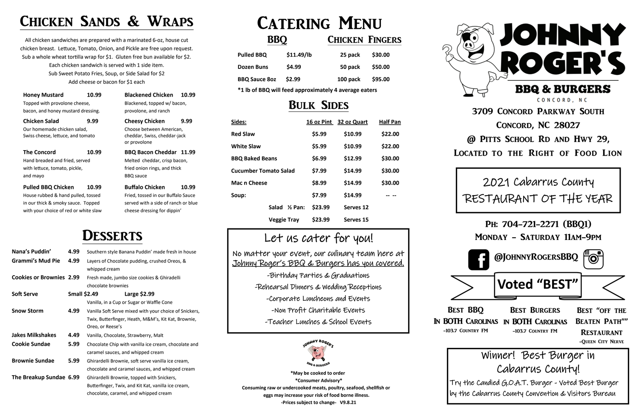## Chicken Sands & Wraps

**Honey Mustard 10.99 Blackened Chicken 10.99** Topped with provolone cheese, Blackened, topped w/ bacon, bacon, and honey mustard dressing. provolone, and ranch

All chicken sandwiches are prepared with a marinated 6-oz, house cut chicken breast. Lettuce, Tomato, Onion, and Pickle are free upon request. Sub a whole wheat tortilla wrap for \$1. Gluten free bun available for \$2. Each chicken sandwich is served with 1 side item. Sub Sweet Potato Fries, Soup, or Side Salad for \$2 Add cheese or bacon for \$1 each

**Pulled BBQ Chicken 10.99 Buffalo Chicken 10.99** House rubbed & hand pulled, tossed Fried, tossed in our Buffalo Sauce in our thick & smoky sauce. Topped served with a side of ranch or blue with your choice of red or white slaw cheese dressing for dippin'

**Chicken Salad 9.99 Cheesy Chicken 9.99**

Our homemade chicken salad, Choose between American, Swiss cheese, lettuce, and tomato cheddar, Swiss, cheddar-jack

or provolone

## DESSERTS

**The Concord 10.99 BBQ Bacon Cheddar 11.99**

Hand breaded and fried, served Melted cheddar, crisp bacon, with lettuce, tomato, pickle, fried onion rings, and thick and mayo BBQ sauce







| Nana's Puddin'                  | 4.99                | Southern style Banana Puddin' made fresh in house      |  |
|---------------------------------|---------------------|--------------------------------------------------------|--|
| <b>Grammi's Mud Pie</b>         | 4.99                | Layers of Chocolate pudding, crushed Oreos, &          |  |
|                                 |                     | whipped cream                                          |  |
| <b>Cookies or Brownies 2.99</b> |                     | Fresh made, jumbo size cookies & Ghiradelli            |  |
|                                 |                     | chocolate brownies                                     |  |
| <b>Soft Serve</b>               | <b>Small \$2.49</b> | Large $$2.99$                                          |  |
|                                 |                     | Vanilla, in a Cup or Sugar or Waffle Cone              |  |
| <b>Snow Storm</b>               | 4.99                | Vanilla Soft Serve mixed with your choice of Snickers, |  |
|                                 |                     | Twix, Butterfinger, Heath, M&M's, Kit Kat, Brownie,    |  |
|                                 |                     | Oreo, or Reese's                                       |  |
| <b>Jakes Milkshakes</b>         | 4.49                | Vanilla, Chocolate, Strawberry, Malt                   |  |
| <b>Cookie Sundae</b>            | 5.99                | Chocolate Chip with vanilla ice cream, chocolate and   |  |
|                                 |                     | caramel sauces, and whipped cream                      |  |
| <b>Brownie Sundae</b>           | 5.99                | Ghirardelli Brownie, soft serve vanilla ice cream,     |  |
|                                 |                     | chocolate and caramel sauces, and whipped cream        |  |
| The Breakup Sundae 6.99         |                     | Ghirardelli Brownie, topped with Snickers,             |  |
|                                 |                     | Butterfinger, Twix, and Kit Kat, vanilla ice cream,    |  |
|                                 |                     | chocolate, caramel, and whipped cream                  |  |

# CATERING MENU

### BBQ **CHICKEN FINGERS**

| <b>Pulled BBQ</b>    | \$11.49/lb | 25 pack  | \$30.00 |
|----------------------|------------|----------|---------|
| Dozen Buns           | \$4.99     | 50 pack  | \$50.00 |
| <b>BBQ Sauce 802</b> | \$2.99     | 100 pack | \$95.00 |

**\*1 lb of BBQ will feed approximately 4 average eaters**

### Bulk Sides

| Sides:                       | 16 oz Pint                    | 32 oz Quart | <b>Half Pan</b> |
|------------------------------|-------------------------------|-------------|-----------------|
| <b>Red Slaw</b>              | \$5.99                        | \$10.99     | \$22.00         |
| <b>White Slaw</b>            | \$5.99                        | \$10.99     | \$22.00         |
| <b>BBQ Baked Beans</b>       | \$6.99                        | \$12.99     | \$30.00         |
| <b>Cucumber Tomato Salad</b> | \$7.99                        | \$14.99     | \$30.00         |
| Mac n Cheese                 | \$8.99                        | \$14.99     | \$30.00         |
| Soup:                        | \$7.99                        | \$14.99     |                 |
| Salad                        | \$23.99<br>$\frac{1}{2}$ Pan: | Serves 12   |                 |
| <b>Veggie Tray</b>           | \$23.99                       | Serves 15   |                 |



No matter your event, our culinary team here at Johnny Roger's BBQ & Burgers has you covered.

-Birthday Parties & Graduations -Rehearsal Dinners & Wedding Receptions -Corporate Luncheons and Events -Non Profit Charitable Events -Teacher Lunches & School Events



 **\*May be cooked to order \*Consumer Advisory\* Consuming raw or undercooked meats, poultry, seafood, shellfish or eggs may increase your risk of food borne illness. -Prices subject to change- V9.8.21**